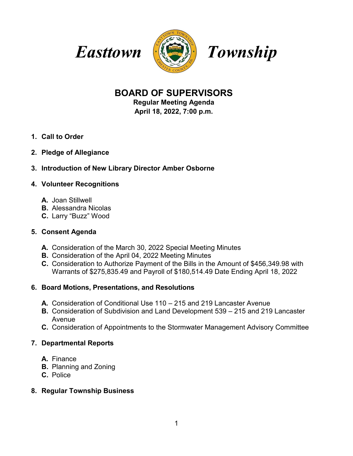





# **BOARD OF SUPERVISORS**

**Regular Meeting Agenda April 18, 2022, 7:00 p.m.**

- **1. Call to Order**
- **2. Pledge of Allegiance**

## **3. Introduction of New Library Director Amber Osborne**

#### **4. Volunteer Recognitions**

- **A.** Joan Stillwell
- **B.** Alessandra Nicolas
- **C.** Larry "Buzz" Wood

#### **5. Consent Agenda**

- **A.** Consideration of the March 30, 2022 Special Meeting Minutes
- **B.** Consideration of the April 04, 2022 Meeting Minutes
- **C.** Consideration to Authorize Payment of the Bills in the Amount of \$456,349.98 with Warrants of \$275,835.49 and Payroll of \$180,514.49 Date Ending April 18, 2022

#### **6. Board Motions, Presentations, and Resolutions**

- **A.** Consideration of Conditional Use 110 215 and 219 Lancaster Avenue
- **B.** Consideration of Subdivision and Land Development 539 215 and 219 Lancaster Avenue
- **C.** Consideration of Appointments to the Stormwater Management Advisory Committee

#### **7. Departmental Reports**

- **A.** Finance
- **B.** Planning and Zoning
- **C.** Police

#### **8. Regular Township Business**